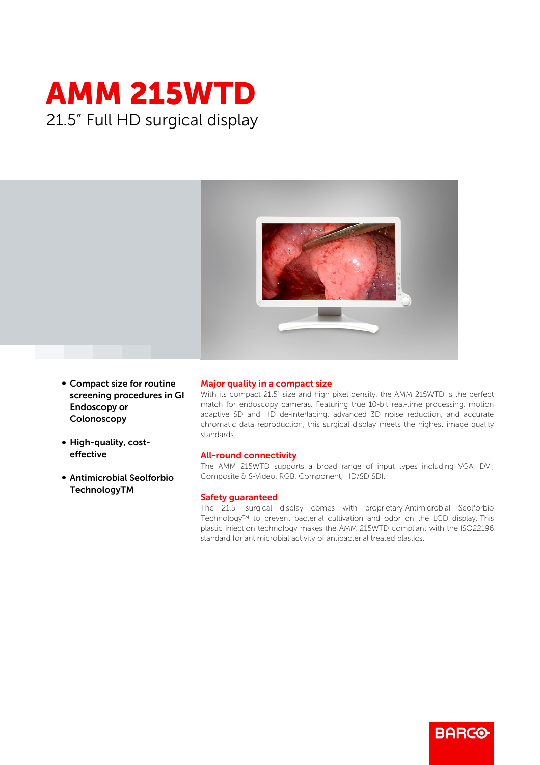



- Compact size for routine screening procedures in GI Endoscopy or Colonoscopy
- High-quality, costeffective
- **Antimicrobial Seolforbio** TechnologyTM

## Major quality in a compact size

With its compact 21.5" size and high pixel density, the AMM 215WTD is the perfect match for endoscopy cameras. Featuring true 10-bit real-time processing, motion adaptive SD and HD de-interlacing, advanced 3D noise reduction, and accurate chromatic data reproduction, this surgical display meets the highest image quality standards.

## All-round connectivity

The AMM 215WTD supports a broad range of input types including VGA, DVI, Composite & S-Video, RGB, Component, HD/SD SDI.

## Safety guaranteed

The 21.5" surgical display comes with proprietary Antimicrobial Seolforbio Technology™ to prevent bacterial cultivation and odor on the LCD display. This plastic injection technology makes the AMM 215WTD compliant with the ISO22196 standard for antimicrobial activity of antibacterial treated plastics.